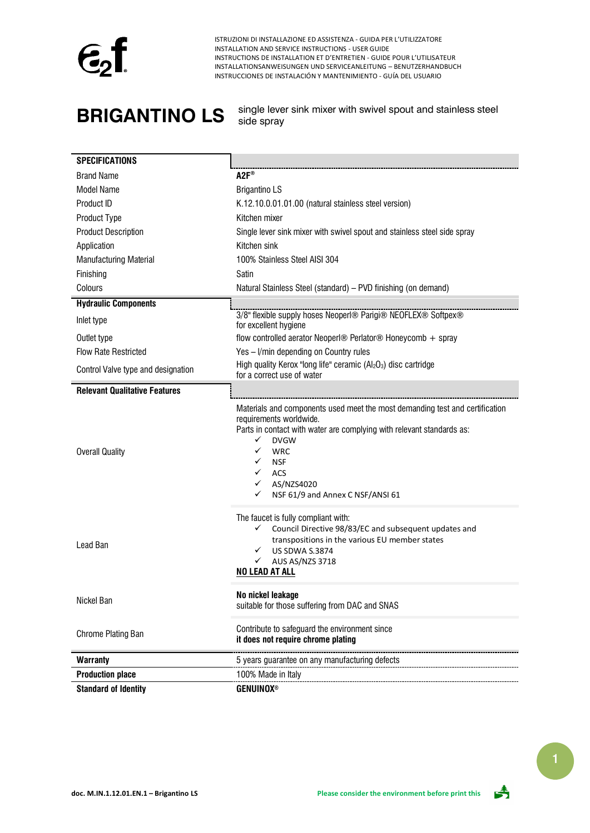

**BRIGANTINO LS** single lever sink mixer with swivel spout and stainless steel side spray

| <b>SPECIFICATIONS</b>                |                                                                                                                                                                                                                                                                                                                                          |  |  |
|--------------------------------------|------------------------------------------------------------------------------------------------------------------------------------------------------------------------------------------------------------------------------------------------------------------------------------------------------------------------------------------|--|--|
| <b>Brand Name</b>                    | $A2F^*$                                                                                                                                                                                                                                                                                                                                  |  |  |
| <b>Model Name</b>                    | <b>Brigantino LS</b>                                                                                                                                                                                                                                                                                                                     |  |  |
| Product ID                           | K.12.10.0.01.01.00 (natural stainless steel version)                                                                                                                                                                                                                                                                                     |  |  |
| Product Type                         | Kitchen mixer                                                                                                                                                                                                                                                                                                                            |  |  |
| <b>Product Description</b>           | Single lever sink mixer with swivel spout and stainless steel side spray                                                                                                                                                                                                                                                                 |  |  |
| Application                          | Kitchen sink                                                                                                                                                                                                                                                                                                                             |  |  |
| Manufacturing Material               | 100% Stainless Steel AISI 304                                                                                                                                                                                                                                                                                                            |  |  |
| Finishing                            | Satin                                                                                                                                                                                                                                                                                                                                    |  |  |
| Colours                              | Natural Stainless Steel (standard) - PVD finishing (on demand)                                                                                                                                                                                                                                                                           |  |  |
| <b>Hydraulic Components</b>          |                                                                                                                                                                                                                                                                                                                                          |  |  |
| Inlet type                           | 3/8" flexible supply hoses Neoperl® Parigi® NEOFLEX® Softpex®<br>for excellent hygiene                                                                                                                                                                                                                                                   |  |  |
| Outlet type                          | flow controlled aerator Neoperl® Perlator® Honeycomb + spray                                                                                                                                                                                                                                                                             |  |  |
| <b>Flow Rate Restricted</b>          | Yes - I/min depending on Country rules                                                                                                                                                                                                                                                                                                   |  |  |
| Control Valve type and designation   | High quality Kerox "long life" ceramic $(AI_2O_3)$ disc cartridge<br>for a correct use of water                                                                                                                                                                                                                                          |  |  |
| <b>Relevant Qualitative Features</b> |                                                                                                                                                                                                                                                                                                                                          |  |  |
| <b>Overall Quality</b>               | Materials and components used meet the most demanding test and certification<br>requirements worldwide.<br>Parts in contact with water are complying with relevant standards as:<br>✓<br><b>DVGW</b><br>✓<br><b>WRC</b><br>✓<br><b>NSF</b><br>$\checkmark$<br>ACS<br>$\checkmark$<br>AS/NZS4020<br>NSF 61/9 and Annex C NSF/ANSI 61<br>✓ |  |  |
| Lead Ban                             | The faucet is fully compliant with:<br>Council Directive 98/83/EC and subsequent updates and<br>✓<br>transpositions in the various EU member states<br><b>US SDWA S.3874</b><br>$\checkmark$<br>$\checkmark$<br>AUS AS/NZS 3718<br><b>NO LEAD AT ALL</b>                                                                                 |  |  |
| Nickel Ban                           | No nickel leakage<br>suitable for those suffering from DAC and SNAS                                                                                                                                                                                                                                                                      |  |  |
| Chrome Plating Ban                   | Contribute to safeguard the environment since<br>it does not require chrome plating                                                                                                                                                                                                                                                      |  |  |
| <b>Warranty</b>                      | 5 years guarantee on any manufacturing defects                                                                                                                                                                                                                                                                                           |  |  |
| <b>Production place</b>              | 100% Made in Italy                                                                                                                                                                                                                                                                                                                       |  |  |
| <b>Standard of Identity</b>          | <b>GENUINOX®</b>                                                                                                                                                                                                                                                                                                                         |  |  |

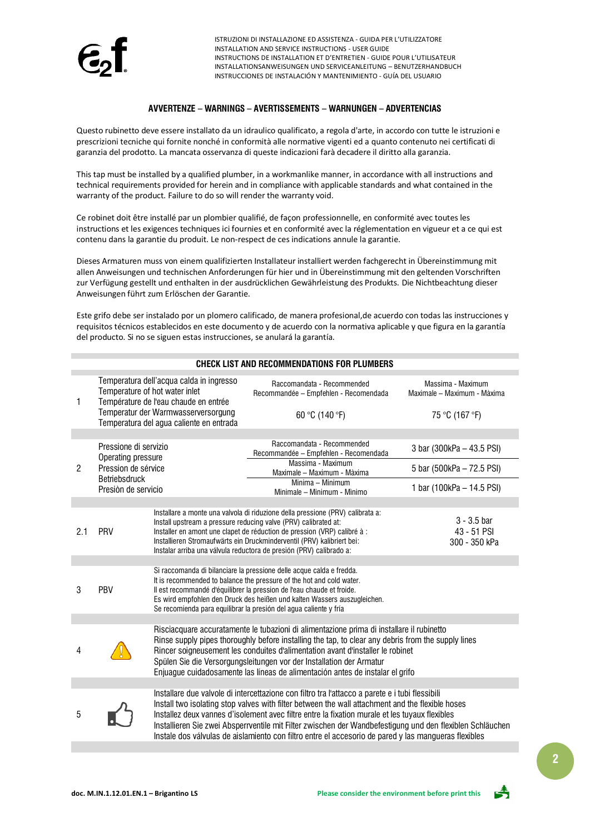

### **AVVERTENZE – WARNINGS – AVERTISSEMENTS – WARNUNGEN – ADVERTENCIAS**

Questo rubinetto deve essere installato da un idraulico qualificato, a regola d'arte, in accordo con tutte le istruzioni e prescrizioni tecniche qui fornite nonché in conformità alle normative vigenti ed a quanto contenuto nei certificati di garanzia del prodotto. La mancata osservanza di queste indicazioni farà decadere il diritto alla garanzia.

This tap must be installed by a qualified plumber, in a workmanlike manner, in accordance with all instructions and technical requirements provided for herein and in compliance with applicable standards and what contained in the warranty of the product. Failure to do so will render the warranty void.

Ce robinet doit être installé par un plombier qualifié, de façon professionnelle, en conformité avec toutes les instructions et les exigences techniques ici fournies et en conformité avec la réglementation en vigueur et a ce qui est contenu dans la garantie du produit. Le non-respect de ces indications annule la garantie.

Dieses Armaturen muss von einem qualifizierten Installateur installiert werden fachgerecht in Übereinstimmung mit allen Anweisungen und technischen Anforderungen für hier und in Übereinstimmung mit den geltenden Vorschriften zur Verfügung gestellt und enthalten in der ausdrücklichen Gewährleistung des Produkts. Die Nichtbeachtung dieser Anweisungen führt zum Erlöschen der Garantie.

Este grifo debe ser instalado por un plomero calificado, de manera profesional,de acuerdo con todas las instrucciones y requisitos técnicos establecidos en este documento y de acuerdo con la normativa aplicable y que figura en la garantía del producto. Si no se siguen estas instrucciones, se anulará la garantía.

| <b>CHECK LIST AND RECOMMENDATIONS FOR PLUMBERS</b> |                                                                                                                                                                                                        |                                                                                                                                                                                                                                                                                                                                                                                                                                            |                                                                                                                                                                                                                                                                                                                                                                                                                                                                                                                            |                                                  |  |  |
|----------------------------------------------------|--------------------------------------------------------------------------------------------------------------------------------------------------------------------------------------------------------|--------------------------------------------------------------------------------------------------------------------------------------------------------------------------------------------------------------------------------------------------------------------------------------------------------------------------------------------------------------------------------------------------------------------------------------------|----------------------------------------------------------------------------------------------------------------------------------------------------------------------------------------------------------------------------------------------------------------------------------------------------------------------------------------------------------------------------------------------------------------------------------------------------------------------------------------------------------------------------|--------------------------------------------------|--|--|
| 1                                                  | Temperatura dell'acqua calda in ingresso<br>Temperature of hot water inlet<br>Température de l'eau chaude en entrée<br>Temperatur der Warmwasserversorgung<br>Temperatura del agua caliente en entrada |                                                                                                                                                                                                                                                                                                                                                                                                                                            | Raccomandata - Recommended<br>Recommandée - Empfehlen - Recomendada                                                                                                                                                                                                                                                                                                                                                                                                                                                        | Massima - Maximum<br>Maximale - Maximum - Màxima |  |  |
|                                                    |                                                                                                                                                                                                        |                                                                                                                                                                                                                                                                                                                                                                                                                                            | 60 °C (140 °F)                                                                                                                                                                                                                                                                                                                                                                                                                                                                                                             | 75 °C (167 °F)                                   |  |  |
|                                                    |                                                                                                                                                                                                        |                                                                                                                                                                                                                                                                                                                                                                                                                                            |                                                                                                                                                                                                                                                                                                                                                                                                                                                                                                                            |                                                  |  |  |
|                                                    | Pressione di servizio<br>Operating pressure<br>Pression de sérvice<br><b>Betriebsdruck</b><br>Presión de servicio                                                                                      |                                                                                                                                                                                                                                                                                                                                                                                                                                            | Raccomandata - Recommended<br>Recommandée - Empfehlen - Recomendada                                                                                                                                                                                                                                                                                                                                                                                                                                                        | 3 bar (300kPa - 43.5 PSI)                        |  |  |
| $\mathbf{2}$                                       |                                                                                                                                                                                                        |                                                                                                                                                                                                                                                                                                                                                                                                                                            | Massima - Maximum<br>Maximale - Maximum - Màxima                                                                                                                                                                                                                                                                                                                                                                                                                                                                           | 5 bar (500kPa - 72.5 PSI)                        |  |  |
|                                                    |                                                                                                                                                                                                        |                                                                                                                                                                                                                                                                                                                                                                                                                                            | Minima - Minimum<br>Minimale - Minimum - Minimo                                                                                                                                                                                                                                                                                                                                                                                                                                                                            | 1 bar (100kPa - 14.5 PSI)                        |  |  |
|                                                    |                                                                                                                                                                                                        |                                                                                                                                                                                                                                                                                                                                                                                                                                            |                                                                                                                                                                                                                                                                                                                                                                                                                                                                                                                            |                                                  |  |  |
| 2.1                                                | PRV                                                                                                                                                                                                    |                                                                                                                                                                                                                                                                                                                                                                                                                                            | Installare a monte una valvola di riduzione della pressione (PRV) calibrata a:<br>Install upstream a pressure reducing valve (PRV) calibrated at:<br>Installer en amont une clapet de réduction de pression (VRP) calibré à :<br>Installieren Stromaufwärts ein Druckminderventil (PRV) kalibriert bei:<br>Instalar arriba una válvula reductora de presión (PRV) calibrado a:                                                                                                                                             | $3 - 3.5$ bar<br>43 - 51 PSI<br>300 - 350 kPa    |  |  |
|                                                    |                                                                                                                                                                                                        |                                                                                                                                                                                                                                                                                                                                                                                                                                            |                                                                                                                                                                                                                                                                                                                                                                                                                                                                                                                            |                                                  |  |  |
| 3                                                  | PBV                                                                                                                                                                                                    | Si raccomanda di bilanciare la pressione delle acque calda e fredda.<br>It is recommended to balance the pressure of the hot and cold water.<br>Il est recommandé d'équilibrer la pression de l'eau chaude et froide.<br>Es wird empfohlen den Druck des heißen und kalten Wassers auszugleichen.<br>Se recomienda para equilibrar la presión del agua caliente y fría                                                                     |                                                                                                                                                                                                                                                                                                                                                                                                                                                                                                                            |                                                  |  |  |
|                                                    |                                                                                                                                                                                                        |                                                                                                                                                                                                                                                                                                                                                                                                                                            |                                                                                                                                                                                                                                                                                                                                                                                                                                                                                                                            |                                                  |  |  |
| 4                                                  |                                                                                                                                                                                                        | Risciacquare accuratamente le tubazioni di alimentazione prima di installare il rubinetto<br>Rinse supply pipes thoroughly before installing the tap, to clear any debris from the supply lines<br>Rincer soigneusement les conduites d'alimentation avant d'installer le robinet<br>Spülen Sie die Versorgungsleitungen vor der Installation der Armatur<br>Enjuague cuidadosamente las líneas de alimentación antes de instalar el grifo |                                                                                                                                                                                                                                                                                                                                                                                                                                                                                                                            |                                                  |  |  |
|                                                    |                                                                                                                                                                                                        |                                                                                                                                                                                                                                                                                                                                                                                                                                            |                                                                                                                                                                                                                                                                                                                                                                                                                                                                                                                            |                                                  |  |  |
| 5                                                  |                                                                                                                                                                                                        |                                                                                                                                                                                                                                                                                                                                                                                                                                            | Installare due valvole di intercettazione con filtro tra l'attacco a parete e i tubi flessibili<br>Install two isolating stop valves with filter between the wall attachment and the flexible hoses<br>Installez deux vannes d'isolement avec filtre entre la fixation murale et les tuyaux flexibles<br>Installieren Sie zwei Absperrventile mit Filter zwischen der Wandbefestigung und den flexiblen Schläuchen<br>Instale dos válvulas de aislamiento con filtro entre el accesorio de pared y las mangueras flexibles |                                                  |  |  |

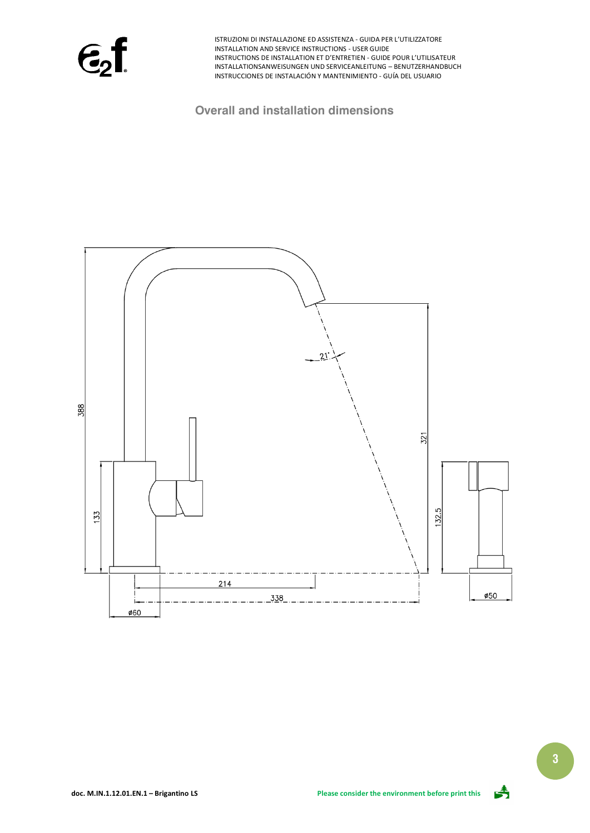$\epsilon$ <sub>2</sub>f

**Overall and installation dimensions**





**3**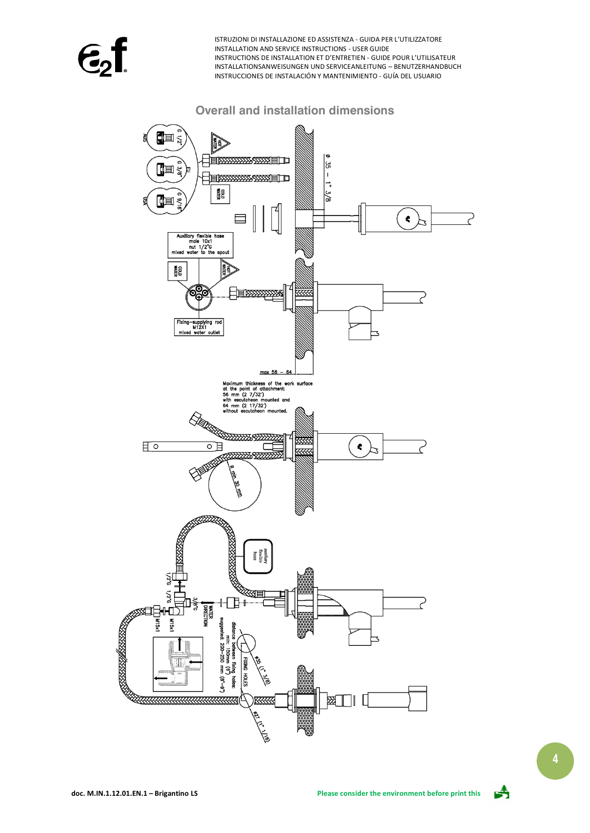### **Overall and installation dimensions**



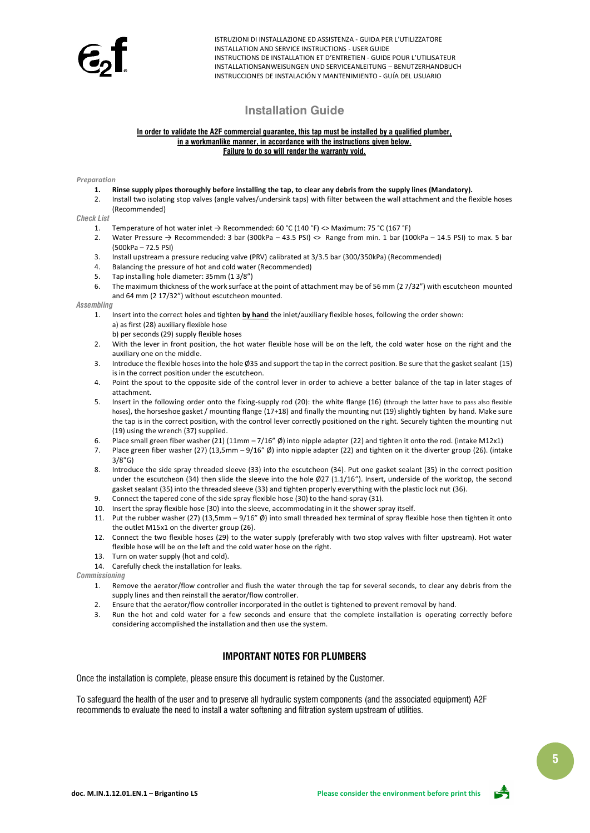# **Installation Guide**

#### **In order to validate the A2F commercial guarantee, this tap must be installed by a qualified plumber, in a workmanlike manner, in accordance with the instructions given below. Failure to do so will render the warranty void.**

#### *Preparation*

- **1. Rinse supply pipes thoroughly before installing the tap, to clear any debris from the supply lines (Mandatory).**
- 2. Install two isolating stop valves (angle valves/undersink taps) with filter between the wall attachment and the flexible hoses (Recommended)

*Check List*

- 1. Temperature of hot water inlet  $\rightarrow$  Recommended: 60 °C (140 °F) <> Maximum: 75 °C (167 °F)
- 2. Water Pressure  $\rightarrow$  Recommended: 3 bar (300kPa 43.5 PSI)  $\rightsquigarrow$  Range from min. 1 bar (100kPa 14.5 PSI) to max. 5 bar (500kPa – 72.5 PSI)
- 3. Install upstream a pressure reducing valve (PRV) calibrated at 3/3.5 bar (300/350kPa) (Recommended)
- 4. Balancing the pressure of hot and cold water (Recommended)
- 5. Tap installing hole diameter: 35mm (1 3/8")
- 6. The maximum thickness of the work surface at the point of attachment may be of 56 mm (2 7/32") with escutcheon mounted and 64 mm (2 17/32") without escutcheon mounted.

### *Assembling*

- 1. Insert into the correct holes and tighten **by hand** the inlet/auxiliary flexible hoses, following the order shown: a) as first (28) auxiliary flexible hose
	- b) per seconds (29) supply flexible hoses
- 2. With the lever in front position, the hot water flexible hose will be on the left, the cold water hose on the right and the auxiliary one on the middle.
- 3. Introduce the flexible hoses into the hole Ø35 and support the tap in the correct position. Be sure that the gasket sealant (15) is in the correct position under the escutcheon.
- 4. Point the spout to the opposite side of the control lever in order to achieve a better balance of the tap in later stages of attachment.
- 5. Insert in the following order onto the fixing-supply rod (20): the white flange (16) (through the latter have to pass also flexible hoses), the horseshoe gasket / mounting flange (17+18) and finally the mounting nut (19) slightly tighten by hand. Make sure the tap is in the correct position, with the control lever correctly positioned on the right. Securely tighten the mounting nut (19) using the wrench (37) supplied.
- 6. Place small green fiber washer (21) (11mm  $-7/16''$  Ø) into nipple adapter (22) and tighten it onto the rod. (intake M12x1)
- 7. Place green fiber washer (27) (13,5mm 9/16" Ø) into nipple adapter (22) and tighten on it the diverter group (26). (intake 3/8"G)
- 8. Introduce the side spray threaded sleeve (33) into the escutcheon (34). Put one gasket sealant (35) in the correct position under the escutcheon (34) then slide the sleeve into the hole Ø27 (1.1/16"). Insert, underside of the worktop, the second gasket sealant (35) into the threaded sleeve (33) and tighten properly everything with the plastic lock nut (36).
- 9. Connect the tapered cone of the side spray flexible hose (30) to the hand-spray (31).
- 10. Insert the spray flexible hose (30) into the sleeve, accommodating in it the shower spray itself.
- 11. Put the rubber washer (27) (13,5mm 9/16" Ø) into small threaded hex terminal of spray flexible hose then tighten it onto the outlet M15x1 on the diverter group (26).
- 12. Connect the two flexible hoses (29) to the water supply (preferably with two stop valves with filter upstream). Hot water flexible hose will be on the left and the cold water hose on the right.
- 13. Turn on water supply (hot and cold).
- 14. Carefully check the installation for leaks.

*Commissioning*

- 1. Remove the aerator/flow controller and flush the water through the tap for several seconds, to clear any debris from the supply lines and then reinstall the aerator/flow controller.
- 2. Ensure that the aerator/flow controller incorporated in the outlet is tightened to prevent removal by hand.
- 3. Run the hot and cold water for a few seconds and ensure that the complete installation is operating correctly before considering accomplished the installation and then use the system.

### **IMPORTANT NOTES FOR PLUMBERS**

Once the installation is complete, please ensure this document is retained by the Customer.

To safeguard the health of the user and to preserve all hydraulic system components (and the associated equipment) A2F recommends to evaluate the need to install a water softening and filtration system upstream of utilities.



**5**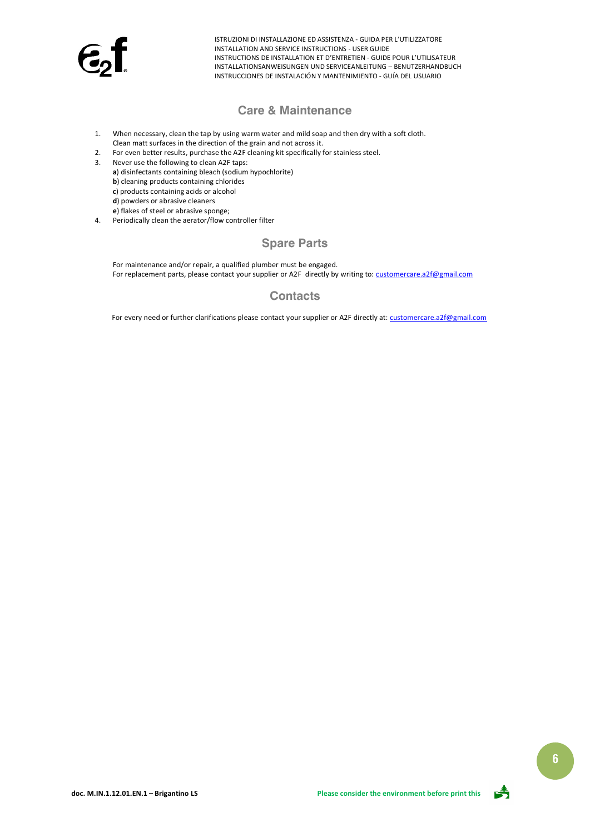

## **Care & Maintenance**

- 1. When necessary, clean the tap by using warm water and mild soap and then dry with a soft cloth. Clean matt surfaces in the direction of the grain and not across it.
- 2. For even better results, purchase the A2F cleaning kit specifically for stainless steel.
- 3. Never use the following to clean A2F taps:
	- **a**) disinfectants containing bleach (sodium hypochlorite)
	- **b**) cleaning products containing chlorides
	- **c**) products containing acids or alcohol
	- **d**) powders or abrasive cleaners
	- **e**) flakes of steel or abrasive sponge;
- 4. Periodically clean the aerator/flow controller filter

# **Spare Parts**

For maintenance and/or repair, a qualified plumber must be engaged. For replacement parts, please contact your supplier or A2F directly by writing to[: customercare.a2f@gmail.com](mailto:customercare.a2f@gmail.com)

# **Contacts**

For every need or further clarifications please contact your supplier or A2F directly at[: customercare.a2f@gmail.com](mailto:customercare.a2f@gmail.com)

![](_page_5_Picture_16.jpeg)

![](_page_5_Picture_19.jpeg)